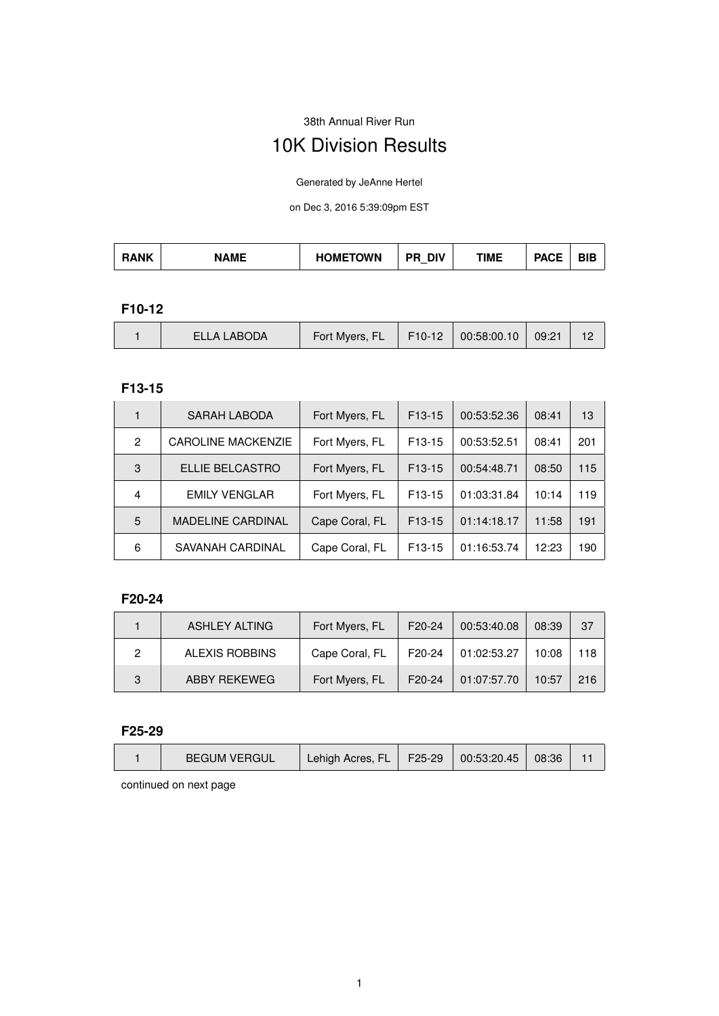38th Annual River Run

# 10K Division Results

Generated by JeAnne Hertel

on Dec 3, 2016 5:39:09pm EST

| <b>HOMETOWN</b><br>TIME<br><b>DIV</b><br><b>RANK</b><br><b>PACE</b><br><b>AME</b><br>DIE<br>$\overline{\phantom{a}}$ |
|----------------------------------------------------------------------------------------------------------------------|
|----------------------------------------------------------------------------------------------------------------------|

#### **F10-12**

|  | ELLA LABODA | Fort Myers, FL F10-12 00:58:00.10 09:21 |  |  |  |  |
|--|-------------|-----------------------------------------|--|--|--|--|
|--|-------------|-----------------------------------------|--|--|--|--|

#### **F13-15**

|   | SARAH LABODA              | Fort Myers, FL | $F13-15$            | 00:53:52.36 | 08:41 | 13  |
|---|---------------------------|----------------|---------------------|-------------|-------|-----|
| 2 | <b>CAROLINE MACKENZIE</b> | Fort Myers, FL | F <sub>13</sub> -15 | 00:53:52.51 | 08:41 | 201 |
| 3 | ELLIE BELCASTRO           | Fort Myers, FL | $F13-15$            | 00:54:48.71 | 08:50 | 115 |
| 4 | <b>EMILY VENGLAR</b>      | Fort Myers, FL | F <sub>13</sub> -15 | 01:03:31.84 | 10:14 | 119 |
| 5 | <b>MADELINE CARDINAL</b>  | Cape Coral, FL | $F13-15$            | 01:14:18.17 | 11:58 | 191 |
| 6 | SAVANAH CARDINAL          | Cape Coral, FL | F <sub>13</sub> -15 | 01:16:53.74 | 12:23 | 190 |

#### **F20-24**

|   | ASHLEY ALTING         | Fort Myers, FL | F <sub>20</sub> -24 | 00:53:40.08 | 08:39 | -37 |
|---|-----------------------|----------------|---------------------|-------------|-------|-----|
| 2 | <b>ALEXIS ROBBINS</b> | Cape Coral, FL | F <sub>20</sub> -24 | 01:02:53.27 | 10:08 | 118 |
| 3 | ABBY REKEWEG          | Fort Myers, FL | F <sub>20</sub> -24 | 01:07:57.70 | 10:57 | 216 |

#### **F25-29**

| <b>BEGUM VERGUL</b> | Lehigh Acres, FL   F25-29   00:53:20.45 |  | 08:36 |  |
|---------------------|-----------------------------------------|--|-------|--|
|                     |                                         |  |       |  |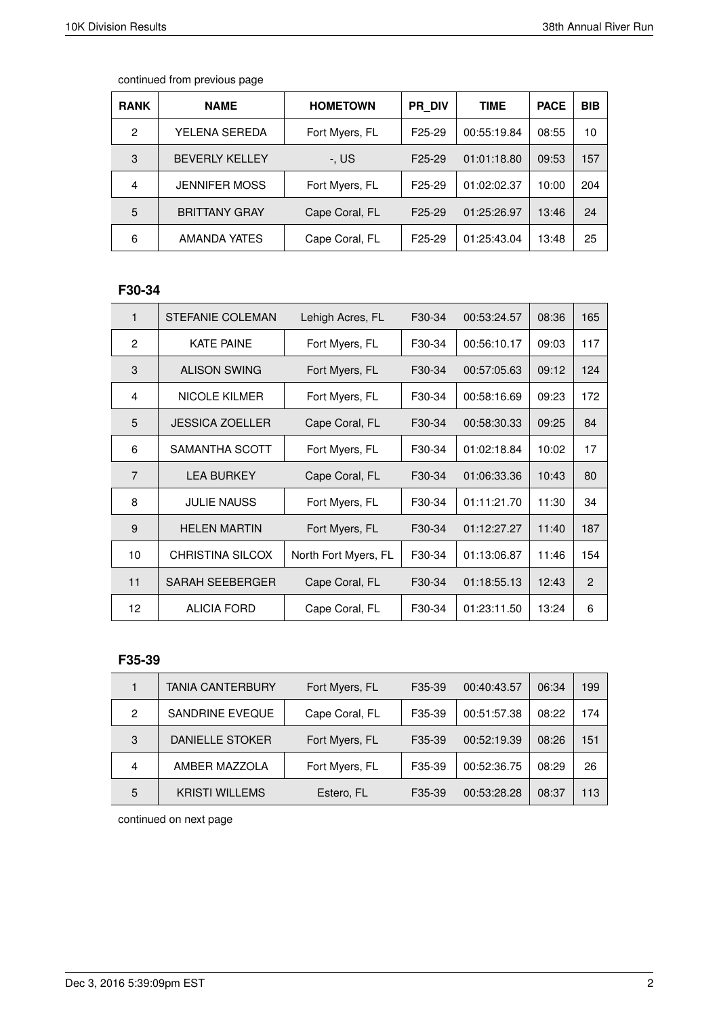|  | continued from previous page |  |  |  |
|--|------------------------------|--|--|--|
|--|------------------------------|--|--|--|

| <b>RANK</b>    | <b>NAME</b>           | <b>HOMETOWN</b> | PR DIV              | <b>TIME</b> | <b>PACE</b> | <b>BIB</b> |
|----------------|-----------------------|-----------------|---------------------|-------------|-------------|------------|
| $\mathfrak{p}$ | YELENA SEREDA         | Fort Myers, FL  | F <sub>25</sub> -29 | 00:55:19.84 | 08:55       | 10         |
| 3              | <b>BEVERLY KELLEY</b> | -. US           | F <sub>25</sub> -29 | 01:01:18.80 | 09:53       | 157        |
| 4              | <b>JENNIFER MOSS</b>  | Fort Myers, FL  | F <sub>25</sub> -29 | 01:02:02.37 | 10:00       | 204        |
| 5              | <b>BRITTANY GRAY</b>  | Cape Coral, FL  | F <sub>25</sub> -29 | 01:25:26.97 | 13:46       | 24         |
| 6              | AMANDA YATES          | Cape Coral, FL  | F <sub>25</sub> -29 | 01:25:43.04 | 13:48       | 25         |

# **F30-34**

| 1              | STEFANIE COLEMAN        | Lehigh Acres, FL     | F30-34 | 00:53:24.57 | 08:36 | 165 |
|----------------|-------------------------|----------------------|--------|-------------|-------|-----|
| 2              | <b>KATE PAINE</b>       | Fort Myers, FL       | F30-34 | 00:56:10.17 | 09:03 | 117 |
| 3              | <b>ALISON SWING</b>     | Fort Myers, FL       | F30-34 | 00:57:05.63 | 09:12 | 124 |
| 4              | <b>NICOLE KILMER</b>    | Fort Myers, FL       | F30-34 | 00:58:16.69 | 09:23 | 172 |
| 5              | <b>JESSICA ZOELLER</b>  | Cape Coral, FL       | F30-34 | 00:58:30.33 | 09:25 | 84  |
| 6              | SAMANTHA SCOTT          | Fort Myers, FL       | F30-34 | 01:02:18.84 | 10:02 | 17  |
| $\overline{7}$ | <b>LEA BURKEY</b>       | Cape Coral, FL       | F30-34 | 01:06:33.36 | 10:43 | 80  |
| 8              | <b>JULIE NAUSS</b>      | Fort Myers, FL       | F30-34 | 01:11:21.70 | 11:30 | 34  |
| 9              | <b>HELEN MARTIN</b>     | Fort Myers, FL       | F30-34 | 01:12:27.27 | 11:40 | 187 |
| 10             | <b>CHRISTINA SILCOX</b> | North Fort Myers, FL | F30-34 | 01:13:06.87 | 11:46 | 154 |
| 11             | <b>SARAH SEEBERGER</b>  | Cape Coral, FL       | F30-34 | 01:18:55.13 | 12:43 | 2   |
| 12             | <b>ALICIA FORD</b>      | Cape Coral, FL       | F30-34 | 01:23:11.50 | 13:24 | 6   |

# **F35-39**

|                | <b>TANIA CANTERBURY</b> | Fort Myers, FL | F35-39              | 00:40:43.57 | 06:34 | 199 |
|----------------|-------------------------|----------------|---------------------|-------------|-------|-----|
| $\overline{2}$ | SANDRINE EVEQUE         | Cape Coral, FL | F35-39              | 00:51:57.38 | 08:22 | 174 |
| 3              | DANIELLE STOKER         | Fort Myers, FL | F35-39              | 00:52:19.39 | 08:26 | 151 |
| 4              | AMBER MAZZOLA           | Fort Myers, FL | F35-39              | 00:52:36.75 | 08:29 | 26  |
| 5              | <b>KRISTI WILLEMS</b>   | Estero, FL     | F <sub>35</sub> -39 | 00:53:28.28 | 08:37 | 113 |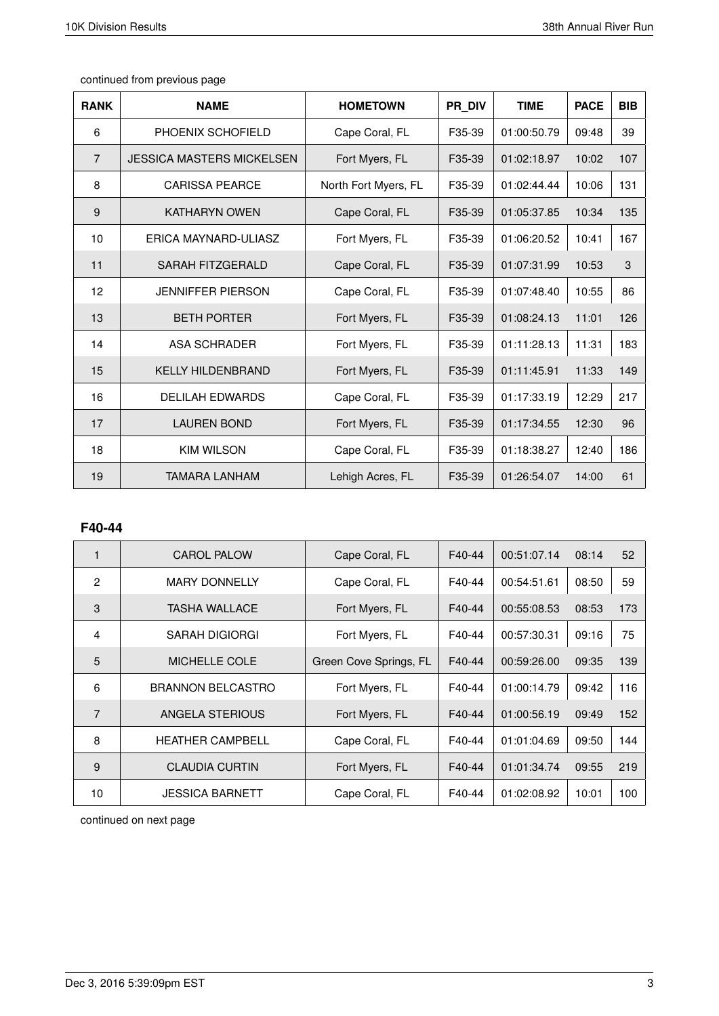| <b>RANK</b>    | <b>NAME</b>                      | <b>HOMETOWN</b>      | PR DIV | <b>TIME</b> | <b>PACE</b> | <b>BIB</b> |
|----------------|----------------------------------|----------------------|--------|-------------|-------------|------------|
| 6              | PHOENIX SCHOFIELD                | Cape Coral, FL       | F35-39 | 01:00:50.79 | 09:48       | 39         |
| $\overline{7}$ | <b>JESSICA MASTERS MICKELSEN</b> | Fort Myers, FL       | F35-39 | 01:02:18.97 | 10:02       | 107        |
| 8              | <b>CARISSA PEARCE</b>            | North Fort Myers, FL | F35-39 | 01:02:44.44 | 10:06       | 131        |
| 9              | <b>KATHARYN OWEN</b>             | Cape Coral, FL       | F35-39 | 01:05:37.85 | 10:34       | 135        |
| 10             | ERICA MAYNARD-ULIASZ             | Fort Myers, FL       | F35-39 | 01:06:20.52 | 10:41       | 167        |
| 11             | <b>SARAH FITZGERALD</b>          | Cape Coral, FL       | F35-39 | 01:07:31.99 | 10:53       | 3          |
| 12             | <b>JENNIFFER PIERSON</b>         | Cape Coral, FL       | F35-39 | 01:07:48.40 | 10:55       | 86         |
| 13             | <b>BETH PORTER</b>               | Fort Myers, FL       | F35-39 | 01:08:24.13 | 11:01       | 126        |
| 14             | ASA SCHRADER                     | Fort Myers, FL       | F35-39 | 01:11:28.13 | 11:31       | 183        |
| 15             | <b>KELLY HILDENBRAND</b>         | Fort Myers, FL       | F35-39 | 01:11:45.91 | 11:33       | 149        |
| 16             | <b>DELILAH EDWARDS</b>           | Cape Coral, FL       | F35-39 | 01:17:33.19 | 12:29       | 217        |
| 17             | <b>LAUREN BOND</b>               | Fort Myers, FL       | F35-39 | 01:17:34.55 | 12:30       | 96         |
| 18             | <b>KIM WILSON</b>                | Cape Coral, FL       | F35-39 | 01:18:38.27 | 12:40       | 186        |
| 19             | <b>TAMARA LANHAM</b>             | Lehigh Acres, FL     | F35-39 | 01:26:54.07 | 14:00       | 61         |

# **F40-44**

| $\mathbf{1}$   | <b>CAROL PALOW</b>       | Cape Coral, FL         | F40-44 | 00:51:07.14 | 08:14 | 52  |
|----------------|--------------------------|------------------------|--------|-------------|-------|-----|
| $\overline{2}$ | <b>MARY DONNELLY</b>     | Cape Coral, FL         | F40-44 | 00:54:51.61 | 08:50 | 59  |
| 3              | <b>TASHA WALLACE</b>     | Fort Myers, FL         | F40-44 | 00:55:08.53 | 08:53 | 173 |
| $\overline{4}$ | SARAH DIGIORGI           | Fort Myers, FL         | F40-44 | 00:57:30.31 | 09:16 | 75  |
| 5              | MICHELLE COLE            | Green Cove Springs, FL | F40-44 | 00:59:26.00 | 09:35 | 139 |
| 6              | <b>BRANNON BELCASTRO</b> | Fort Myers, FL         | F40-44 | 01:00:14.79 | 09:42 | 116 |
| $\overline{7}$ | ANGELA STERIOUS          | Fort Myers, FL         | F40-44 | 01:00:56.19 | 09:49 | 152 |
| 8              | <b>HEATHER CAMPBELL</b>  | Cape Coral, FL         | F40-44 | 01:01:04.69 | 09:50 | 144 |
| 9              | <b>CLAUDIA CURTIN</b>    | Fort Myers, FL         | F40-44 | 01:01:34.74 | 09:55 | 219 |
| 10             | <b>JESSICA BARNETT</b>   | Cape Coral, FL         | F40-44 | 01:02:08.92 | 10:01 | 100 |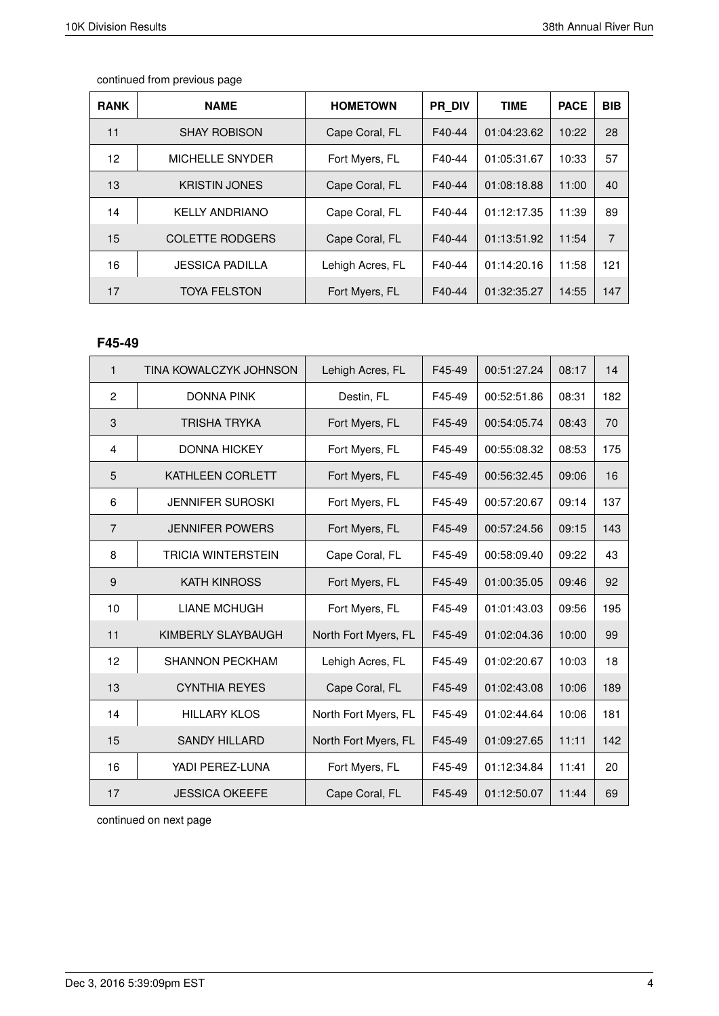| <b>RANK</b> | <b>NAME</b>            | <b>HOMETOWN</b>  | <b>PR DIV</b> | <b>TIME</b> | <b>PACE</b> | <b>BIB</b>     |
|-------------|------------------------|------------------|---------------|-------------|-------------|----------------|
| 11          | <b>SHAY ROBISON</b>    | Cape Coral, FL   | F40-44        | 01:04:23.62 | 10:22       | 28             |
| 12          | MICHELLE SNYDER        | Fort Myers, FL   | F40-44        | 01:05:31.67 | 10:33       | 57             |
| 13          | <b>KRISTIN JONES</b>   | Cape Coral, FL   | F40-44        | 01:08:18.88 | 11:00       | 40             |
| 14          | <b>KELLY ANDRIANO</b>  | Cape Coral, FL   | F40-44        | 01:12:17.35 | 11:39       | 89             |
| 15          | <b>COLETTE RODGERS</b> | Cape Coral, FL   | F40-44        | 01:13:51.92 | 11:54       | $\overline{7}$ |
| 16          | <b>JESSICA PADILLA</b> | Lehigh Acres, FL | F40-44        | 01:14:20.16 | 11:58       | 121            |
| 17          | <b>TOYA FELSTON</b>    | Fort Myers, FL   | F40-44        | 01:32:35.27 | 14:55       | 147            |

#### **F45-49**

| $\mathbf{1}$   | TINA KOWALCZYK JOHNSON    | Lehigh Acres, FL     | F45-49 | 00:51:27.24 | 08:17 | 14  |
|----------------|---------------------------|----------------------|--------|-------------|-------|-----|
| $\overline{2}$ | <b>DONNA PINK</b>         | Destin, FL           | F45-49 | 00:52:51.86 | 08:31 | 182 |
| 3              | TRISHA TRYKA              | Fort Myers, FL       | F45-49 | 00:54:05.74 | 08:43 | 70  |
| 4              | <b>DONNA HICKEY</b>       | Fort Myers, FL       | F45-49 | 00:55:08.32 | 08:53 | 175 |
| 5              | KATHLEEN CORLETT          | Fort Myers, FL       | F45-49 | 00:56:32.45 | 09:06 | 16  |
| 6              | <b>JENNIFER SUROSKI</b>   | Fort Myers, FL       | F45-49 | 00:57:20.67 | 09:14 | 137 |
| $\overline{7}$ | <b>JENNIFER POWERS</b>    | Fort Myers, FL       | F45-49 | 00:57:24.56 | 09:15 | 143 |
| 8              | <b>TRICIA WINTERSTEIN</b> | Cape Coral, FL       | F45-49 | 00:58:09.40 | 09:22 | 43  |
| 9              | <b>KATH KINROSS</b>       | Fort Myers, FL       | F45-49 | 01:00:35.05 | 09:46 | 92  |
| 10             | <b>LIANE MCHUGH</b>       | Fort Myers, FL       | F45-49 | 01:01:43.03 | 09:56 | 195 |
| 11             | KIMBERLY SLAYBAUGH        | North Fort Myers, FL | F45-49 | 01:02:04.36 | 10:00 | 99  |
| 12             | <b>SHANNON PECKHAM</b>    | Lehigh Acres, FL     | F45-49 | 01:02:20.67 | 10:03 | 18  |
| 13             | <b>CYNTHIA REYES</b>      | Cape Coral, FL       | F45-49 | 01:02:43.08 | 10:06 | 189 |
| 14             | <b>HILLARY KLOS</b>       | North Fort Myers, FL | F45-49 | 01:02:44.64 | 10:06 | 181 |
| 15             | <b>SANDY HILLARD</b>      | North Fort Myers, FL | F45-49 | 01:09:27.65 | 11:11 | 142 |
| 16             | YADI PEREZ-LUNA           | Fort Myers, FL       | F45-49 | 01:12:34.84 | 11:41 | 20  |
| 17             | <b>JESSICA OKEEFE</b>     | Cape Coral, FL       | F45-49 | 01:12:50.07 | 11:44 | 69  |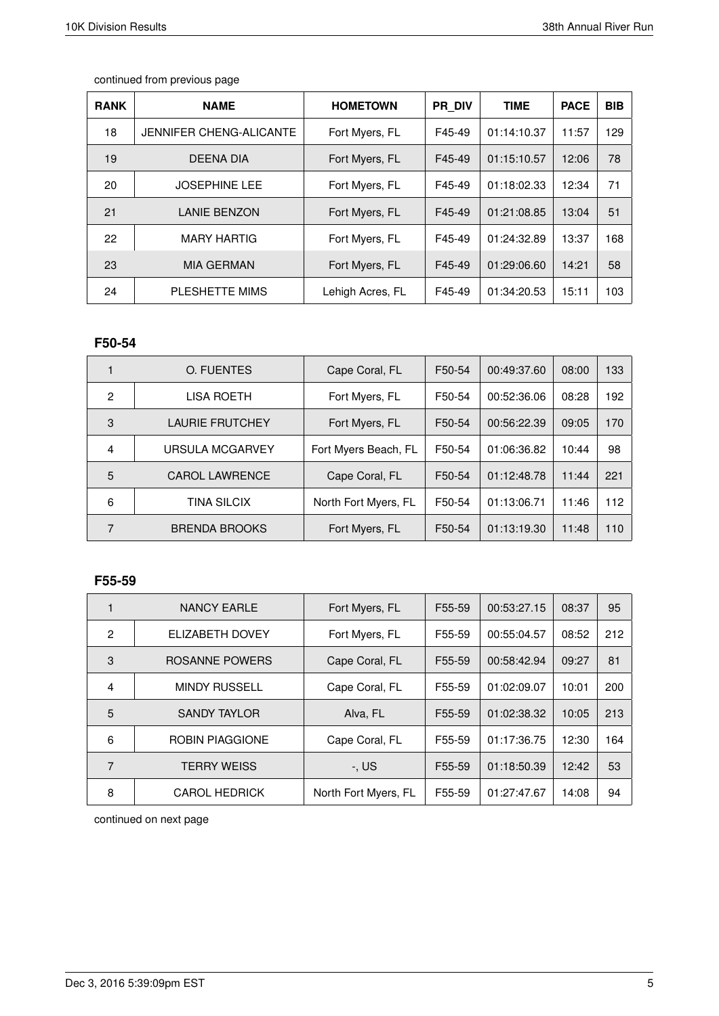| <b>RANK</b> | <b>NAME</b>             | <b>HOMETOWN</b>  | <b>PR DIV</b> | <b>TIME</b> | <b>PACE</b> | <b>BIB</b> |
|-------------|-------------------------|------------------|---------------|-------------|-------------|------------|
| 18          | JENNIFER CHENG-ALICANTE | Fort Myers, FL   | F45-49        | 01:14:10.37 | 11:57       | 129        |
| 19          | <b>DEENA DIA</b>        | Fort Myers, FL   | F45-49        | 01:15:10.57 | 12:06       | 78         |
| 20          | <b>JOSEPHINE LEE</b>    | Fort Myers, FL   | F45-49        | 01:18:02.33 | 12:34       | 71         |
| 21          | <b>LANIE BENZON</b>     | Fort Myers, FL   | F45-49        | 01:21:08.85 | 13:04       | 51         |
| 22          | <b>MARY HARTIG</b>      | Fort Myers, FL   | F45-49        | 01:24:32.89 | 13:37       | 168        |
| 23          | <b>MIA GERMAN</b>       | Fort Myers, FL   | F45-49        | 01:29:06.60 | 14:21       | 58         |
| 24          | PLESHETTE MIMS          | Lehigh Acres, FL | F45-49        | 01:34:20.53 | 15:11       | 103        |

# **F50-54**

|   | O. FUENTES             | Cape Coral, FL       | F50-54 | 00:49:37.60 | 08:00 | 133 |
|---|------------------------|----------------------|--------|-------------|-------|-----|
| 2 | LISA ROETH             | Fort Myers, FL       | F50-54 | 00:52:36.06 | 08:28 | 192 |
| 3 | <b>LAURIE FRUTCHEY</b> | Fort Myers, FL       | F50-54 | 00:56:22.39 | 09:05 | 170 |
| 4 | <b>URSULA MCGARVEY</b> | Fort Myers Beach, FL | F50-54 | 01:06:36.82 | 10:44 | 98  |
| 5 | <b>CAROL LAWRENCE</b>  | Cape Coral, FL       | F50-54 | 01:12:48.78 | 11:44 | 221 |
| 6 | <b>TINA SILCIX</b>     | North Fort Myers, FL | F50-54 | 01:13:06.71 | 11:46 | 112 |
| 7 | <b>BRENDA BROOKS</b>   | Fort Myers, FL       | F50-54 | 01:13:19.30 | 11:48 | 110 |

## **F55-59**

| 1              | NANCY EARLE            | Fort Myers, FL       | F55-59 | 00:53:27.15 | 08:37 | 95  |
|----------------|------------------------|----------------------|--------|-------------|-------|-----|
| 2              | ELIZABETH DOVEY        | Fort Myers, FL       | F55-59 | 00:55:04.57 | 08:52 | 212 |
| 3              | ROSANNE POWERS         | Cape Coral, FL       | F55-59 | 00:58:42.94 | 09:27 | 81  |
| $\overline{4}$ | <b>MINDY RUSSELL</b>   | Cape Coral, FL       | F55-59 | 01:02:09.07 | 10:01 | 200 |
| 5              | <b>SANDY TAYLOR</b>    | Alva, FL             | F55-59 | 01:02:38.32 | 10:05 | 213 |
| 6              | <b>ROBIN PIAGGIONE</b> | Cape Coral, FL       | F55-59 | 01:17:36.75 | 12:30 | 164 |
| 7              | <b>TERRY WEISS</b>     | $-$ , US             | F55-59 | 01:18:50.39 | 12:42 | 53  |
| 8              | <b>CAROL HEDRICK</b>   | North Fort Myers, FL | F55-59 | 01:27:47.67 | 14:08 | 94  |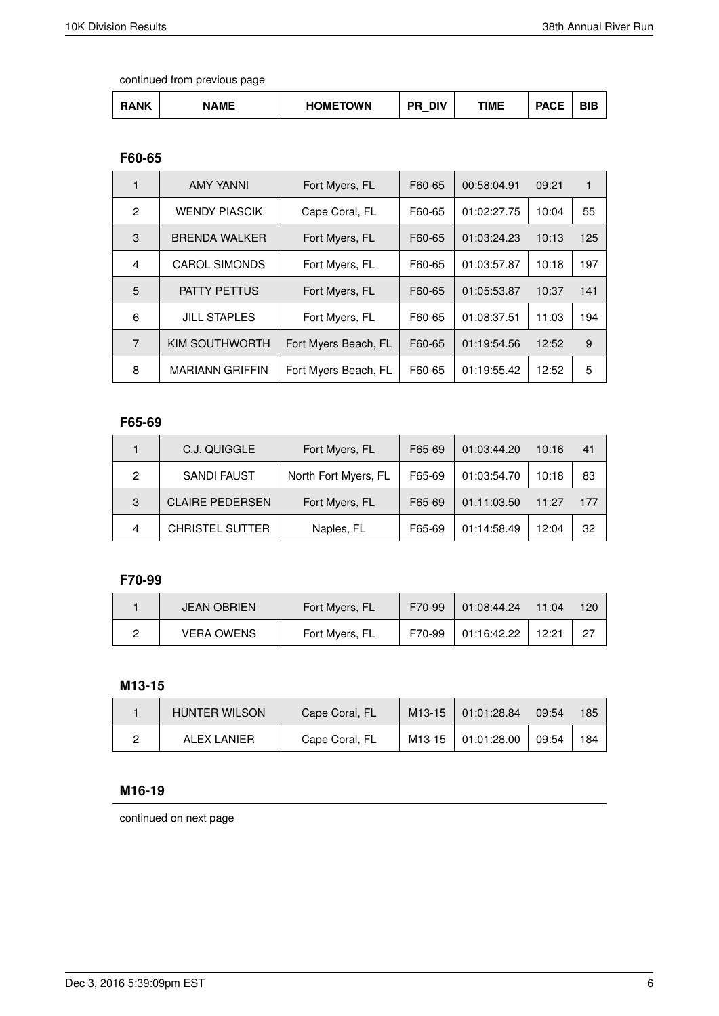| <b>NAME</b><br>۱NK | <b>HOMETOWN</b> | DIV<br>DР | ΓΙΜΕ | <b>DAOF</b><br>AUT | ---<br>31 E |
|--------------------|-----------------|-----------|------|--------------------|-------------|
|--------------------|-----------------|-----------|------|--------------------|-------------|

## **F60-65**

|                | <b>AMY YANNI</b>       | Fort Myers, FL       | F60-65 | 00:58:04.91 | 09:21 | 1   |
|----------------|------------------------|----------------------|--------|-------------|-------|-----|
| $\mathfrak{p}$ | <b>WENDY PIASCIK</b>   | Cape Coral, FL       | F60-65 | 01:02:27.75 | 10:04 | 55  |
| 3              | <b>BRENDA WALKER</b>   | Fort Myers, FL       | F60-65 | 01:03:24.23 | 10:13 | 125 |
| $\overline{4}$ | <b>CAROL SIMONDS</b>   | Fort Myers, FL       | F60-65 | 01:03:57.87 | 10:18 | 197 |
| 5              | <b>PATTY PETTUS</b>    | Fort Myers, FL       | F60-65 | 01:05:53.87 | 10:37 | 141 |
| 6              | <b>JILL STAPLES</b>    | Fort Myers, FL       | F60-65 | 01:08:37.51 | 11:03 | 194 |
| $\overline{7}$ | <b>KIM SOUTHWORTH</b>  | Fort Myers Beach, FL | F60-65 | 01:19:54.56 | 12:52 | 9   |
| 8              | <b>MARIANN GRIFFIN</b> | Fort Myers Beach, FL | F60-65 | 01:19:55.42 | 12:52 | 5   |

# **F65-69**

|   | C.J. QUIGGLE           | Fort Myers, FL       | F65-69 | 01:03:44.20 | 10:16 | 41  |
|---|------------------------|----------------------|--------|-------------|-------|-----|
| 2 | <b>SANDI FAUST</b>     | North Fort Myers, FL | F65-69 | 01:03:54.70 | 10:18 | 83  |
| 3 | <b>CLAIRE PEDERSEN</b> | Fort Myers, FL       | F65-69 | 01:11:03.50 | 11:27 | 177 |
| 4 | <b>CHRISTEL SUTTER</b> | Naples, FL           | F65-69 | 01:14:58.49 | 12:04 | 32  |

## **F70-99**

| <b>JEAN OBRIEN</b> | Fort Myers, FL | F70-99 | 01:08:44.24 | 11:04 | 120 |
|--------------------|----------------|--------|-------------|-------|-----|
| <b>VERA OWENS</b>  | Fort Myers, FL | F70-99 | 01:16:42.22 | 12:21 | 27  |

# **M13-15**

| <b>HUNTER WILSON</b> | Cape Coral, FL | M13-15 01:01:28.84   | 09:54 | 185 |
|----------------------|----------------|----------------------|-------|-----|
| ALEX LANIER          | Cape Coral, FL | M13-15   01:01:28.00 | 09:54 | 184 |

# **M16-19**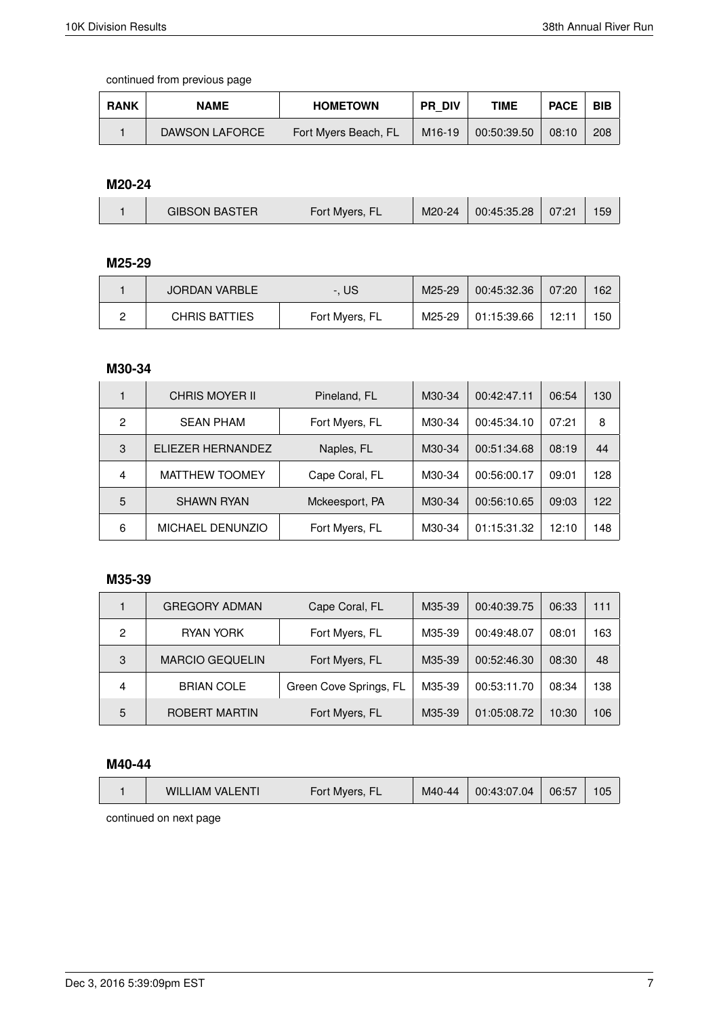| <b>RANK</b> | <b>NAME</b>    | <b>HOMETOWN</b>      | <b>PR DIV</b> | <b>TIME</b> | <b>PACE</b> | <b>BIB</b> |
|-------------|----------------|----------------------|---------------|-------------|-------------|------------|
|             | DAWSON LAFORCE | Fort Myers Beach, FL | M16-19        | 00:50:39.50 | 08:10       | 208        |

#### **M20-24**

|  | <b>GIBSON BASTER</b> | Fort Myers, FL | M20-24 | 00:45:35.28 | 07:21 |  |
|--|----------------------|----------------|--------|-------------|-------|--|
|--|----------------------|----------------|--------|-------------|-------|--|

# **M25-29**

| JORDAN VARBLE | -. US          | M25-29 | 00:45:32.36 | 07:20 | 162 |
|---------------|----------------|--------|-------------|-------|-----|
| CHRIS BATTIES | Fort Myers, FL | M25-29 | 01:15:39.66 | 12:11 | 150 |

#### **M30-34**

|   | CHRIS MOYER II          | Pineland, FL   | M30-34 | 00:42:47.11 | 06:54 | 130 |
|---|-------------------------|----------------|--------|-------------|-------|-----|
| 2 | <b>SEAN PHAM</b>        | Fort Myers, FL | M30-34 | 00:45:34.10 | 07:21 | 8   |
| 3 | ELIEZER HERNANDEZ       | Naples, FL     | M30-34 | 00:51:34.68 | 08:19 | 44  |
| 4 | <b>MATTHEW TOOMEY</b>   | Cape Coral, FL | M30-34 | 00:56:00.17 | 09:01 | 128 |
| 5 | <b>SHAWN RYAN</b>       | Mckeesport, PA | M30-34 | 00:56:10.65 | 09:03 | 122 |
| 6 | <b>MICHAEL DENUNZIO</b> | Fort Myers, FL | M30-34 | 01:15:31.32 | 12:10 | 148 |

## **M35-39**

|   | <b>GREGORY ADMAN</b>   | Cape Coral, FL         | M35-39 | 00:40:39.75 | 06:33 | 111 |
|---|------------------------|------------------------|--------|-------------|-------|-----|
| 2 | RYAN YORK              | Fort Myers, FL         | M35-39 | 00:49:48.07 | 08:01 | 163 |
| 3 | <b>MARCIO GEQUELIN</b> | Fort Myers, FL         | M35-39 | 00:52:46.30 | 08:30 | 48  |
| 4 | <b>BRIAN COLE</b>      | Green Cove Springs, FL | M35-39 | 00:53:11.70 | 08:34 | 138 |
| 5 | ROBERT MARTIN          | Fort Myers, FL         | M35-39 | 01:05:08.72 | 10:30 | 106 |

#### **M40-44**

|--|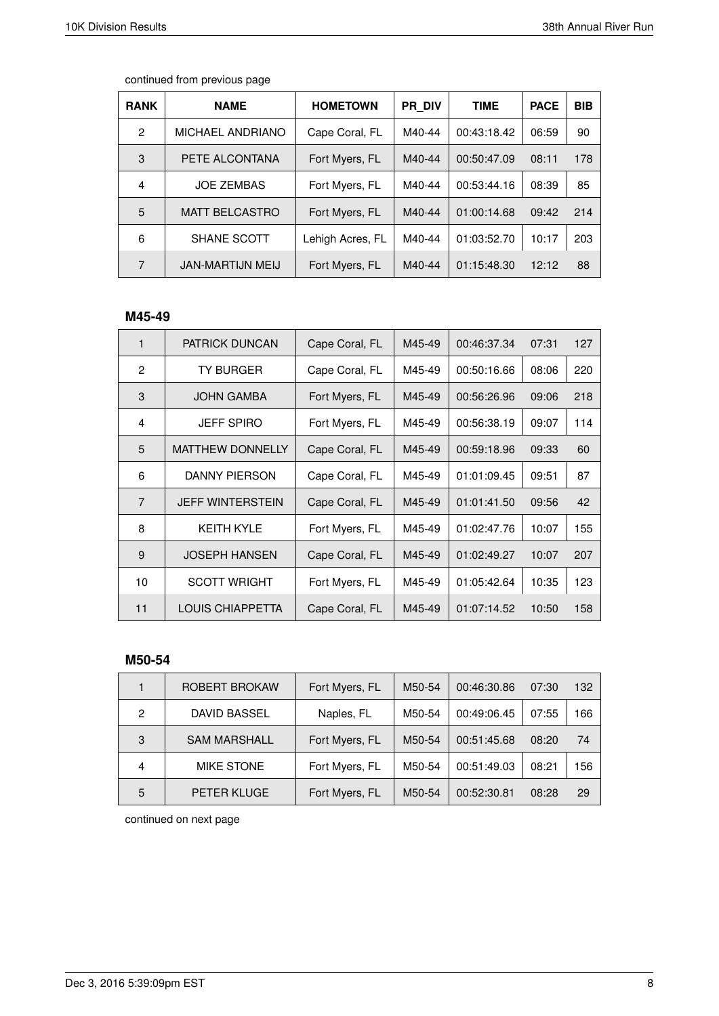| <b>RANK</b> | <b>NAME</b>             | <b>HOMETOWN</b>  | PR DIV | <b>TIME</b> | <b>PACE</b> | <b>BIB</b> |
|-------------|-------------------------|------------------|--------|-------------|-------------|------------|
| 2           | MICHAEL ANDRIANO        | Cape Coral, FL   | M40-44 | 00:43:18.42 | 06:59       | 90         |
| 3           | PETE ALCONTANA          | Fort Myers, FL   | M40-44 | 00:50:47.09 | 08:11       | 178        |
| 4           | <b>JOE ZEMBAS</b>       | Fort Myers, FL   | M40-44 | 00:53:44.16 | 08:39       | 85         |
| 5           | <b>MATT BELCASTRO</b>   | Fort Myers, FL   | M40-44 | 01:00:14.68 | 09:42       | 214        |
| 6           | SHANE SCOTT             | Lehigh Acres, FL | M40-44 | 01:03:52.70 | 10:17       | 203        |
| 7           | <b>JAN-MARTIJN MEIJ</b> | Fort Myers, FL   | M40-44 | 01:15:48.30 | 12:12       | 88         |

## **M45-49**

| 1              | <b>PATRICK DUNCAN</b>   | Cape Coral, FL | M45-49 | 00:46:37.34 | 07:31 | 127 |
|----------------|-------------------------|----------------|--------|-------------|-------|-----|
| 2              | <b>TY BURGER</b>        | Cape Coral, FL | M45-49 | 00:50:16.66 | 08:06 | 220 |
| 3              | JOHN GAMBA              | Fort Myers, FL | M45-49 | 00:56:26.96 | 09:06 | 218 |
| 4              | <b>JEFF SPIRO</b>       | Fort Myers, FL | M45-49 | 00:56:38.19 | 09:07 | 114 |
| 5              | <b>MATTHEW DONNELLY</b> | Cape Coral, FL | M45-49 | 00:59:18.96 | 09:33 | 60  |
| 6              | DANNY PIERSON           | Cape Coral, FL | M45-49 | 01:01:09.45 | 09:51 | 87  |
| $\overline{7}$ | <b>JEFF WINTERSTEIN</b> | Cape Coral, FL | M45-49 | 01:01:41.50 | 09:56 | 42  |
| 8              | <b>KEITH KYLE</b>       | Fort Myers, FL | M45-49 | 01:02:47.76 | 10:07 | 155 |
| 9              | <b>JOSEPH HANSEN</b>    | Cape Coral, FL | M45-49 | 01:02:49.27 | 10:07 | 207 |
| 10             | <b>SCOTT WRIGHT</b>     | Fort Myers, FL | M45-49 | 01:05:42.64 | 10:35 | 123 |
| 11             | LOUIS CHIAPPETTA        | Cape Coral, FL | M45-49 | 01:07:14.52 | 10:50 | 158 |

### **M50-54**

|   | ROBERT BROKAW       | Fort Myers, FL | M50-54 | 00:46:30.86 | 07:30 | 132 |
|---|---------------------|----------------|--------|-------------|-------|-----|
| 2 | <b>DAVID BASSEL</b> | Naples, FL     | M50-54 | 00:49:06.45 | 07:55 | 166 |
| 3 | <b>SAM MARSHALL</b> | Fort Myers, FL | M50-54 | 00:51:45.68 | 08:20 | 74  |
| 4 | <b>MIKE STONE</b>   | Fort Myers, FL | M50-54 | 00:51:49.03 | 08:21 | 156 |
| 5 | <b>PETER KLUGE</b>  | Fort Myers, FL | M50-54 | 00:52:30.81 | 08:28 | 29  |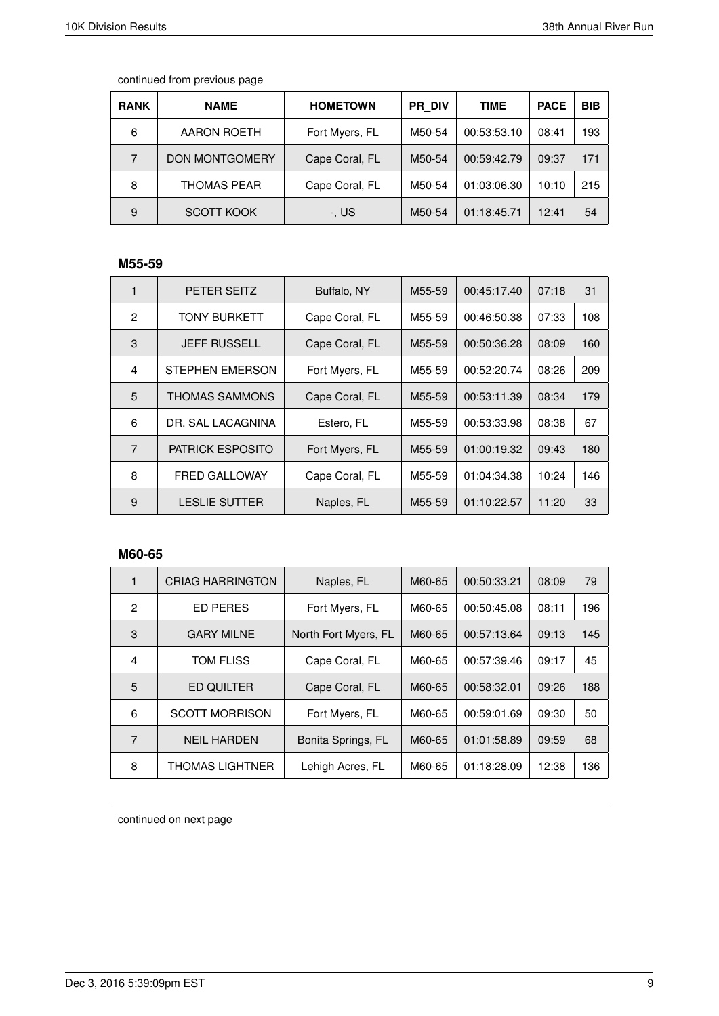| <b>RANK</b>    | <b>NAME</b>           | <b>HOMETOWN</b> | <b>PR DIV</b> | TIME        | <b>PACE</b> | <b>BIB</b> |
|----------------|-----------------------|-----------------|---------------|-------------|-------------|------------|
| 6              | AARON ROETH           | Fort Myers, FL  | M50-54        | 00:53:53.10 | 08:41       | 193        |
| $\overline{7}$ | <b>DON MONTGOMERY</b> | Cape Coral, FL  | M50-54        | 00:59:42.79 | 09:37       | 171        |
| 8              | <b>THOMAS PEAR</b>    | Cape Coral, FL  | M50-54        | 01:03:06.30 | 10:10       | 215        |
| 9              | <b>SCOTT KOOK</b>     | -. US           | M50-54        | 01:18:45.71 | 12:41       | 54         |

# **M55-59**

| 1              | PETER SEITZ             | Buffalo, NY    | M55-59 | 00:45:17.40 | 07:18 | 31  |
|----------------|-------------------------|----------------|--------|-------------|-------|-----|
| $\mathbf{P}$   | TONY BURKETT            | Cape Coral, FL | M55-59 | 00:46:50.38 | 07:33 | 108 |
| 3              | <b>JEFF RUSSELL</b>     | Cape Coral, FL | M55-59 | 00:50:36.28 | 08:09 | 160 |
| 4              | STEPHEN EMERSON         | Fort Myers, FL | M55-59 | 00:52:20.74 | 08:26 | 209 |
| 5              | THOMAS SAMMONS          | Cape Coral, FL | M55-59 | 00:53:11.39 | 08:34 | 179 |
| 6              | DR. SAL LACAGNINA       | Estero, FL     | M55-59 | 00:53:33.98 | 08:38 | 67  |
| $\overline{7}$ | <b>PATRICK ESPOSITO</b> | Fort Myers, FL | M55-59 | 01:00:19.32 | 09:43 | 180 |
| 8              | <b>FRED GALLOWAY</b>    | Cape Coral, FL | M55-59 | 01:04:34.38 | 10:24 | 146 |
| 9              | <b>LESLIE SUTTER</b>    | Naples, FL     | M55-59 | 01:10:22.57 | 11:20 | 33  |

# **M60-65**

| 1            | <b>CRIAG HARRINGTON</b> | Naples, FL           | M60-65 | 00:50:33.21 | 08:09 | 79  |
|--------------|-------------------------|----------------------|--------|-------------|-------|-----|
| $\mathbf{P}$ | <b>ED PERES</b>         | Fort Myers, FL       | M60-65 | 00:50:45.08 | 08:11 | 196 |
| 3            | <b>GARY MILNE</b>       | North Fort Myers, FL | M60-65 | 00:57:13.64 | 09:13 | 145 |
| 4            | TOM FLISS               | Cape Coral, FL       | M60-65 | 00:57:39.46 | 09:17 | 45  |
| 5            | ED QUILTER              | Cape Coral, FL       | M60-65 | 00:58:32.01 | 09:26 | 188 |
| 6            | <b>SCOTT MORRISON</b>   | Fort Myers, FL       | M60-65 | 00:59:01.69 | 09:30 | 50  |
| 7            | <b>NFII HARDEN</b>      | Bonita Springs, FL   | M60-65 | 01:01:58.89 | 09:59 | 68  |
| 8            | <b>THOMAS LIGHTNER</b>  | Lehigh Acres, FL     | M60-65 | 01:18:28.09 | 12:38 | 136 |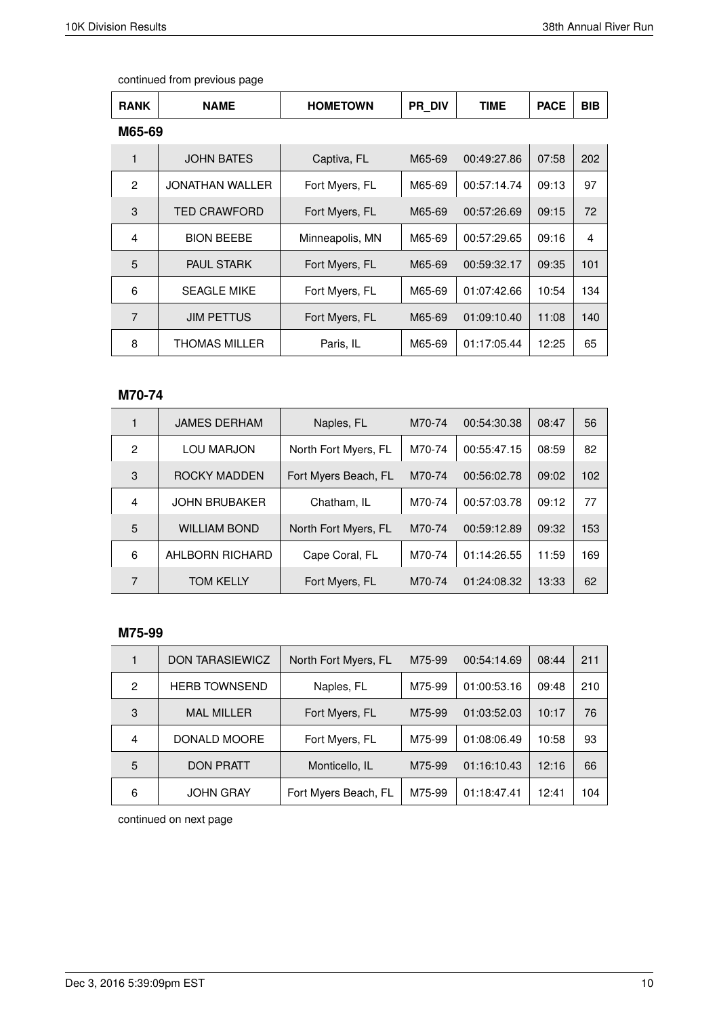| <b>RANK</b>    | <b>NAME</b>            | <b>HOMETOWN</b> | <b>PR DIV</b> | TIME        | <b>PACE</b> | <b>BIB</b> |
|----------------|------------------------|-----------------|---------------|-------------|-------------|------------|
| M65-69         |                        |                 |               |             |             |            |
| 1              | <b>JOHN BATES</b>      | Captiva, FL     | M65-69        | 00:49:27.86 | 07:58       | 202        |
| $\mathbf{2}$   | <b>JONATHAN WALLER</b> | Fort Myers, FL  | M65-69        | 00:57:14.74 | 09:13       | 97         |
| 3              | <b>TED CRAWFORD</b>    | Fort Myers, FL  | M65-69        | 00:57:26.69 | 09:15       | 72         |
| 4              | <b>BION BEEBE</b>      | Minneapolis, MN | M65-69        | 00:57:29.65 | 09:16       | 4          |
| 5              | <b>PAUL STARK</b>      | Fort Myers, FL  | M65-69        | 00:59:32.17 | 09:35       | 101        |
| 6              | <b>SEAGLE MIKE</b>     | Fort Myers, FL  | M65-69        | 01:07:42.66 | 10:54       | 134        |
| $\overline{7}$ | <b>JIM PETTUS</b>      | Fort Myers, FL  | M65-69        | 01:09:10.40 | 11:08       | 140        |
| 8              | <b>THOMAS MILLER</b>   | Paris, IL       | M65-69        | 01:17:05.44 | 12:25       | 65         |

## **M70-74**

|   | <b>JAMES DERHAM</b>  | Naples, FL           | M70-74 | 00:54:30.38 | 08:47 | 56  |
|---|----------------------|----------------------|--------|-------------|-------|-----|
| 2 | LOU MARJON           | North Fort Myers, FL | M70-74 | 00:55:47.15 | 08:59 | 82  |
| 3 | ROCKY MADDEN         | Fort Myers Beach, FL | M70-74 | 00:56:02.78 | 09:02 | 102 |
| 4 | <b>JOHN BRUBAKER</b> | Chatham, IL          | M70-74 | 00:57:03.78 | 09:12 | 77  |
| 5 | <b>WILLIAM BOND</b>  | North Fort Myers, FL | M70-74 | 00:59:12.89 | 09:32 | 153 |
| 6 | AHLBORN RICHARD      | Cape Coral, FL       | M70-74 | 01:14:26.55 | 11:59 | 169 |
| 7 | <b>TOM KELLY</b>     | Fort Myers, FL       | M70-74 | 01:24:08.32 | 13:33 | 62  |

#### **M75-99**

|   | <b>DON TARASIEWICZ</b> | North Fort Myers, FL | M75-99 | 00:54:14.69 | 08:44 | 211 |
|---|------------------------|----------------------|--------|-------------|-------|-----|
| 2 | <b>HERB TOWNSEND</b>   | Naples, FL           | M75-99 | 01:00:53.16 | 09:48 | 210 |
| 3 | <b>MAL MILLER</b>      | Fort Myers, FL       | M75-99 | 01:03:52.03 | 10:17 | 76  |
| 4 | DONALD MOORE           | Fort Myers, FL       | M75-99 | 01:08:06.49 | 10:58 | 93  |
| 5 | <b>DON PRATT</b>       | Monticello, IL       | M75-99 | 01:16:10.43 | 12:16 | 66  |
| 6 | <b>JOHN GRAY</b>       | Fort Myers Beach, FL | M75-99 | 01:18:47.41 | 12:41 | 104 |